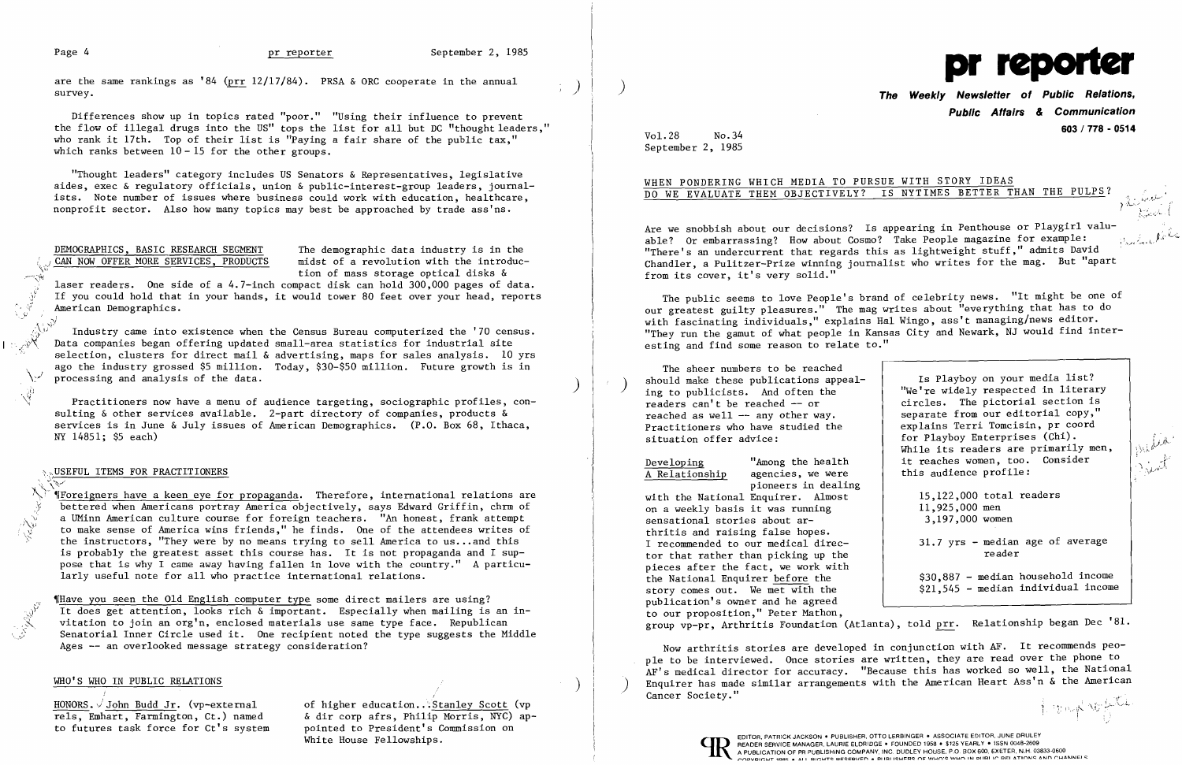Page 4 pr reporter September 2, 1985<br>are the same rankings as '84 (prr 12/17/84). PRSA & ORC cooperate in the annual ) ) **The Weekly Newsletter of Public Relations,** 

Differences show up in topics rated "poor." "Using their influence to prevent the flow of illegal drugs into the US" tops the list for all but DC "thought leaders," who rank it 17th. Top of their list is "Paying a fair share of the public tax." which ranks between  $10 - 15$  for the other groups.

laser readers. One side of a 4.7-inch compact disk can hold 300,000 pages of data. laser readers. One side of a 4.7-inch compact disk can hold 300,000 pages of data.<br>If you could hold that in your hands, it would tower 80 feet over your head, reports  $\begin{bmatrix} \downarrow \\ \downarrow \end{bmatrix}$  American Demographics.

Industry came into existence when the Census Bureau computerized the '70 census. Data companies began offering updated small-area statistics for industrial site selection, clusters for direct mail & advertising, maps for sales analysis. 10 yrs ago the industry grossed \$5 million. Today, \$30-\$50 million. Future growth is in processing and analysis of the data.

"Thought leaders" category includes US Senators & Representatives, legislative aides, exec & regulatory officials, union & public-interest-group leaders, journalists. Note number of issues where business could work with education, healthcare, nonprofit sector. Also how many topics may best be approached by trade ass'ns.

DEMOGRAPHICS, BASIC RESEARCH SEGMENT The demographic data industry is in the CAN NOW OFFER MORE SERVICES, PRODUCTS midst of a revolution with the introducmidst of a revolution with the introduction of mass storage optical disks  $\&$ 

*I*Foreigners have a keen eye for propaganda. Therefore, international relations are ) bettered when Americans portray America objectively, says Edward Griffin, chrm of . a UMinn American culture course for foreign teachers. "An honest, frank attempt to make sense of America wins friends," he finds. One of the attendees writes of the instructors, "They were by no means trying to sell America to us... and this is probably the greatest asset this course has. It is not propaganda and I suppose that is why I came away having fallen in love with the country." A particularly useful note for all who practice international relations.

Thave you seen the Old English computer type some direct mailers are using? It does get attention, looks rich & important. Especially when mailing is an invitation to join an org'n, enclosed materials use same type face. Republican Senatorial Inner Circle used it. One recipient noted the type suggests the Middle Ages -- an overlooked message strategy consideration?

### WHO'S WHO IN PUBLIC RELATIONS

HONORS. John Budd Jr. (vp-external of higher education. Stanley Scott (vp<br>rels. Emhart. Farmington, Ct.) named & dir corp afrs. Philip Morris, NYC) ap-& dir corp afrs, Philip Morris, NYC) ap-<br>pointed to President's Commission on to futures task force for Ct's system pointed to President's Commission on the Euler on the Commission on the<br>White House Fellowships.

 $\frac{\partial f}{\partial t}$  , and  $\partial \mathcal{L}$ / {

 $\sin(k\lambda)^T$ 

 $\cdot$ ,  $\cdot$   $\cdot$ 

Practitioners now have a menu of audience targeting, sociographic profiles, consulting & other services available. 2-part directory of companies, products & services is in June & July issues of American Demographics. (P.O. Box 68, Ithaca, NY 14851; \$5 each)

### ,USEFUL ITEMS FOR PRACTITIONERS

./\:~I·

Developing "Among the health<br>A Relationship agencies, we were agencies, we were pioneers in dealing

)~'

Now arthritis stories are developed in conjunction with AF. It recommends people to be interviewed. Once stories are written, they are read over the phone to AF's medical director for accuracy. "Because this has worked so well, the National Enquirer has made similar arrangements with the American Heart Ass'n  $\&$  the American Cancer Society."



# **Public Affairs & Communication 603 / 778 - <sup>0514</sup>** Vol.28 No.34

September 2, 1985

## WHEN PONDERING WHICH MEDIA TO PURSUE WITH STORY IDEAS

DO WE EVALUATE THEM OBJECTIVELY? IS NYTIMES BETTER THAN THE PULPS?

') ,]

Are we snobbish about our decisions? Is appearing in Penthouse or Playgirl valuable? Or embarrassing? How about Cosmo? Take People magazine for example: "There's an undercurrent that regards this as lightweight stuff," admits David Chandler, a Pulitzer-Prize winning journalist who writes for the mag. But "apart from its cover, it's very solid."

The public seems to love People's brand of celebrity news. "It might be one of our greatest guilty pleasures." The mag writes about "everything that has to do with fascinating individuals," explains Hal Wingo, ass't managing/news editor. "They run the gamut of what people in Kansas City and Newark, NJ would find interesting and find some reason to relate to."

The sheer numbers to be reached should make these publications appeal-<br>ing to publicists. And often the readers can't be reached -- or reached as well  $-$  any other way. Practitioners who have studied the situation offer advice:

with the National Enquirer. Almost on a weekly basis it was running sensational stories about arthritis and raising false hopes. I recommended to our medical director that rather than picking up the pieces after the fact, we work with the National Enquirer before the story comes out. We met with the publication's owner and he agreed to our proposition," Peter Mathon, 11,925,000 men 3,197,000 women 31.7 yrs - median age of average reader \$30,887 - median household income  $$21,545$  - median individual income group vp-pr, Arthritis Foundation (Atlanta), told prr. Relationship began Dec '81.

Is Playboy on your media list? "We're widely respected in literary circles. The pictorial section is separate from our editorial copy," explains Terri Tomcisin, pr coord for Playboy Enterprises (Chi). While its readers are primarily men, it reaches women, too. Consider this audience profile: 15,122,000 total readers

 $\int_{\mathbb{R}} \int_{\mathbb{R}} \int_{\mathbb{R}} \int_{\mathbb{R}} \int_{\mathbb{R}} \int_{\mathbb{R}} \int_{\mathbb{R}} \int_{\mathbb{R}} \int_{\mathbb{R}} \int_{\mathbb{R}} \int_{\mathbb{R}} \int_{\mathbb{R}} \int_{\mathbb{R}} \int_{\mathbb{R}} \int_{\mathbb{R}} \int_{\mathbb{R}} \int_{\mathbb{R}} \int_{\mathbb{R}} \int_{\mathbb{R}} \int_{\mathbb{R}} \int_{\mathbb{R}} \int_{\mathbb{R}} \int_{\mathbb{R}} \int_{\mathbb{R}} \int_{\$